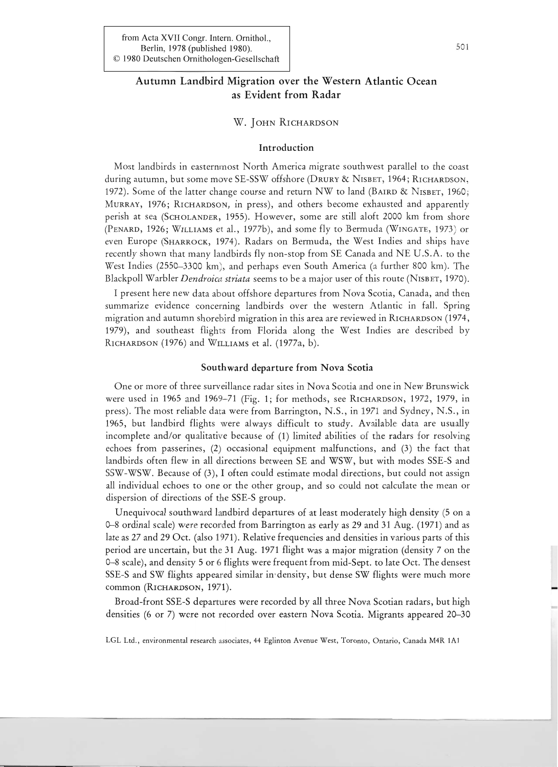# Autumn Landbird Migration over the Western Atlantic Ocean as Evident from Radar

# W. JOHN RICHARDSON

## Introduction

Most landbirds in easternmost North America migrate southwest parallel to the coast during autumn, but some move SE-SSW offshore (DRURY & NISBET, 1964; RICHARDSON, 1972). Some of the latter change course and return NW to land (BAIRD & NISBET, 1960; MURRAY, 1976; RICHARDSON, in press), and others become exhausted and apparently perish at sea (SCHOLANDER, 1955). However, some are still aloft 2000 km from shore (PENARD, 1926; WILLIAMS et aI., 1977b), and some fly to Bermuda (WINGATE, 1973) or even Europe (SHARROCK, 1974). Radars on Bermuda, the West Indies and ships have recently shown that many landbirds fly non-stop from SE Canada and NE U.S.A. to the West Indies (2550-3300 km), and perhaps even South America (a further 800 km). The Blackpoll Warbler *Dendroica striata* seems to be a major user of this route (NISBET, 1970).

I present here new data about offshore departures from Nova Scotia, Canada, and then summarize evidence concerning landbirds over the western Atlantic in fall. Spring migration and autumn shorebird migration in this area are reviewed in RICHARDSON (1974, 1979), and southeast flights from Florida along the West Indies are described by RICHARDSON (1976) and WILLIAMS et al. (1977 $\hat{a}$ , b).

#### Southward departure from Nova Scotia

One or more of three surveillance radar sites in Nova Scotia and one in New Brunswick were used in 1965 and 1969-71 (Fig. 1; for methods, see RICHARDSON, 1972, 1979, in press). The most reliable data were from Barrington, N.S., in 1971 and Sydney, N.S., in 1965, but landbird flights were always difficult to study. Available data are usually incomplete and/or qualitative because of (1) limited abilities of the radars for resolving echoes from passerines, (2) occasional equipment malfunctions, and (3) the fact that landbirds often flew in all directions between SE and WSW, but with modes SSE-S and SSW-WSW. Because of (3), I often could estimate modal directions, but could not assign all individual echoes to one or the other group, and so could not calcuhte the mean or dispersion of directions of the SSE-S group.

Unequivocal southward landbird departures of at least moderately high density (5 on a 0-8 ordinal scale) were recorded from Barrington as early as 29 and 31 Aug. (1971) and as late as 27 and 29 Oct. (also 1971). Relative frequencies and densities in  $v_a r_i$  ous parts of this period are uncertain, but the 31 Aug. 1971 flight was a major migration (density 7 on the 0-8 scale), and density 5 or 6 flights were frequent from mid-Sept. to late Oct. The densest SSE-S and SW flights appeared similar in'density, but dense SW flights were much more common (RICHARDSON, 1971).

Broad-front SSE-S departures were recorded by all three Nova Scotian radars, but high densities (6 or 7) were not recorded over eastern Nova Scotia. Migrants appeared 20-30

LGL Ltd., environmental research associates, 44 Eglinton Avenue West, Toronto, Ontario, Canada M4R JAJ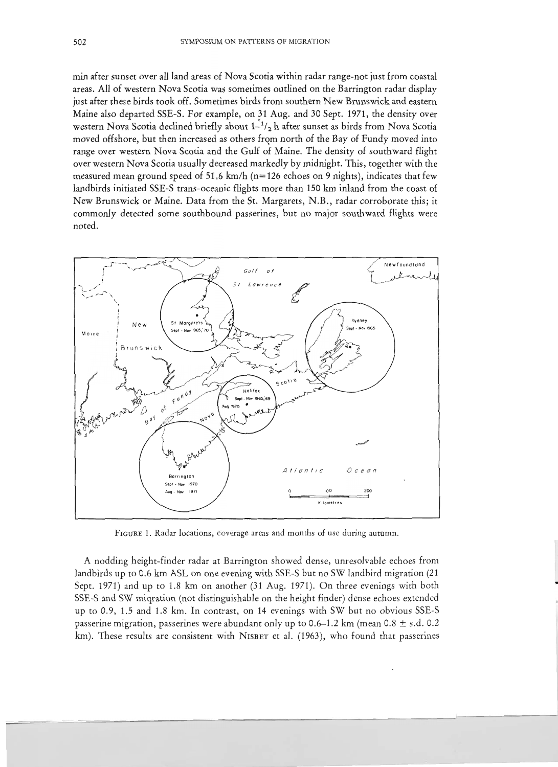min after sunset over all land areas of Nova Scotia within radar range-not just from coastal areas. All of western Nova Scotia was sometimes outlined on the Barrington radar display just after these birds took off. Sometimes birds from southern New Brunswick and eastern Maine also departed SSE-S. For example, on 31 Aug. and 30 Sept. 1971, the density over western Nova Scotia declined briefly about  $1-\frac{1}{2}$  h after sunset as birds from Nova Scotia moved offshore, but then increased as others from north of the Bay of Fundy moved into range over western Nova Scotia and the Gulf of Maine. The density of southward flight over western Nova Scotia usually decreased markedly by midnight. This, together with the measured mean ground speed of 51.6 km/h (n= 126 echoes on 9 nights), indicates that few landbirds initiated SSE-S trans-oceanic flights more than 150 km inland from the coast of New Brunswick or Maine. Data from the St. Margarets, N.B., radar corroborate this; it commonly detected some southbound passerines, but no major southward flights were noted.



FIGURE 1. Radar locations, coverage areas and months of use during autumn.

A nodding height-finder radar at Barrington showed dense, unresolvable echoes from landbirds up to 0.6 km ASL on one evening with SSE-S but no SW landbird migration (21 Sept. 1971) and up to 1.8 km on another (31 Aug. 1971). On three evenings with both SSE-S and SW miqration (not distinguishable on the height finder) dense echoes extended up to 0.9, 1.5 and 1.8 km. In contrast, on 14 evenings with SW but no obvious SSE-S passerine migration, passerines were abundant only up to 0.6–1.2 km (mean 0.8  $\pm$  s.d. 0.2 km). These results are consistent with NISBET et al. (1963), who found that passerines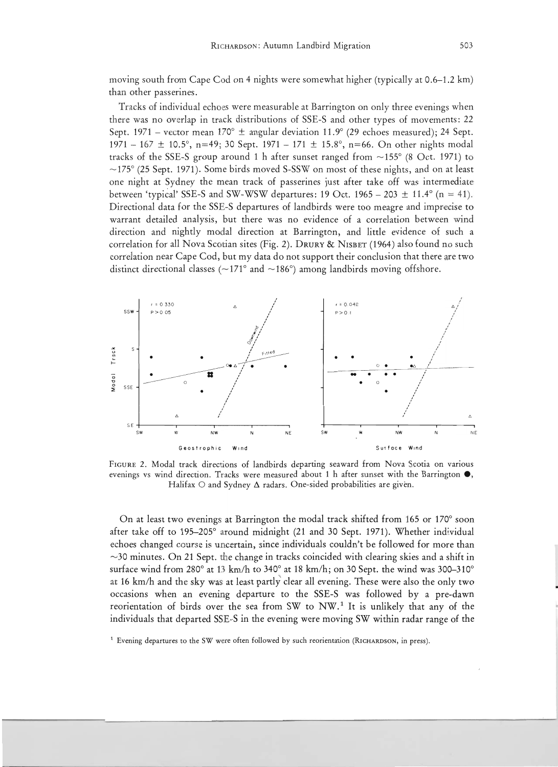moving south from Cape Cod on 4 nights were somewhat higher (typically at 0.6-1.2 km) than other passerines.

Tracks of individual echoes were measurable at Barrington on only three evenings when there was no overlap in track distributions of SSE-S and other types of movements: 22 Sept. 1971 – vector mean 170°  $\pm$  angular deviation 11.9° (29 echoes measured); 24 Sept. 1971 - 167  $\pm$  10.5°, n=49; 30 Sept. 1971 - 171  $\pm$  15.8°, n=66. On other nights modal tracks of the SSE-S group around 1 h after sunset ranged from  $\sim$ 155 $\degree$  (8 Oct. 1971) to  $\sim$ 175° (25 Sept. 1971). Some birds moved S-SSW on most of these nights, and on at least one night at Sydney the mean track of passerines just after take off was intermediate between 'typical' SSE-S and SW-WSW departures: 19 Oct. 1965 – 203  $\pm$  11.4° (n = 41). Directional data for the SSE-S departures of landbirds were too meagre and imprecise to warrant detailed analysis, but there was no evidence of a correlation between wind direction and nightly modal direction at Barrington, and little evidence of such a correlation for all Nova Scotian sites (Fig. 2). DRURY & NISBET (1964) also found no such correlation near Cape Cod, but my data do not support their conclusion that there are two distinct directional classes ( $\sim$ 171° and  $\sim$ 186°) among landbirds moving offshore.



FIGURE 2. Modal track directions of landbirds departing seaward from Nova Scotia on various evenings vs wind direction. Tracks were measured about 1 h after sunset with the Barrington **e,** Halifax  $\circ$  and Sydney  $\Delta$  radars. One-sided probabilities are given.

On at least two evenings at Barrington the modal track shifted from 165 or 170° soon after take off to 195-205° around midnight (21 and 30 Sept. 1971). Whether individual echoes changed course is uncertain, since individuals couldn't be followed for more than  $\sim$ 30 minutes. On 21 Sept. the change in tracks coincided with clearing skies and a shift in surface wind from 280° at 13 km/h to 340° at 18 km/h; on 30 Sept. the wind was 300–310° at 16 km/h and the sky was at least partly clear all evening. These were also the only two occasions when an evening departure to the SSE-S was followed by a pre-dawn reorientation of birds over the sea from SW to  $NW<sup>1</sup>$  It is unlikely that any of the individuals that departed SSE-S in the evening were moving SW within radar range of the

<sup>&</sup>lt;sup>1</sup> Evening departures to the SW weve often followed by such reorientation (RICHARDSON, in press).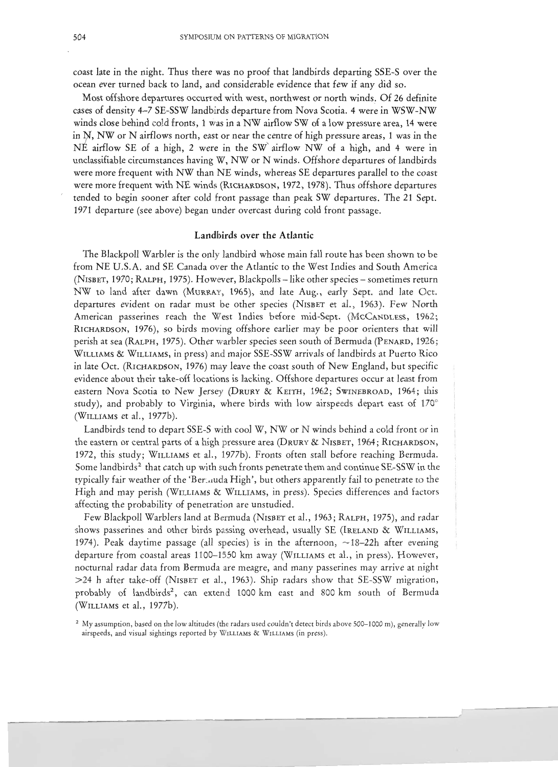coast late in the night. Thus there was no proof that landbirds departing SSE-S over the ocean ever turned back to land, and considerable evidence that few if any did so.

Most offshore departures occurred with west, northwest or north winds. Of 26 definite cases of density 4-7 SE-SSW landbirds departure from Nova Scotia. 4 were in WSW-NW winds close behind cold fronts, 1 was in a NW airflow SW of a low pressure area, 14 were in  $N$ , NW or N airflows north, east or near the centre of high pressure areas, 1 was in the  $N\hat{E}$  airflow SE of a high, 2 were in the SW airflow NW of a high, and 4 were in unclassifiable circumstances having W, NW or N winds. Offshore departures of landbirds were more frequent with NW than NE winds, whereas SE departures parallel to the coast were more frequent with NE winds (RICHARDSON, 1972, 1978). Thus offshore departures tended to begin sooner after cold front passage than peak SW departures. The 21 Sept. 1971 departure (see above) began under overcast during cold front passage.

## Landbirds over the Atlantic

The Blackpoll Warbler is the only landbird whose main fall route has been shown to be from NE U.S.A. and SE Canada over the Atlantic to the West Indies and South America (NISBET, 1970; RALPH, 1975). However, Blackpolls – like other species – sometimes return NW to land after dawn (MURRAY, 1965), and late Aug., early Sept. and late Oct. departures evident on radar must be other species (NISBET et al., 1963). Few North American passerines reach the West Indies before mid-Sept. (MCCANDLESS, 1962; RICHARDSON, 1976), so birds moving offshore earlier may be poor orienters that will perish at sea (RALPH, 1975). Other warbler species seen south of Bermuda (PENARD, 1926; WILLIAMS & WILLIAMS, in press) and major SSE-SSW arrivals of landbirds at Puerto Rico in late Oct. (RICHARDSON, 1976) may leave the coast south of New England, but specific evidence about their take-off locations is lacking. Offshore departures occur at least from eastern Nova Scotia to New Jersey (DRURY & KEITH, 1962; SWINEBROAD, 1964; this study), and probably to Virginia, where birds with low airspeeds depart east of 170° (WILLIAMS et al., 1977b).

Landbirds tend to depart SSE-S with cool W, NW or N winds behind a cold front or in the eastern or central parts of a high pressure area (DRURY & NISBET, 1964; RICHARDSON, 1972, this study; WILLIAMS et al., 1977b). Fronts often stall before reaching Bermuda. Some landbirds<sup>2</sup> that catch up with such fronts penetrate them and continue SE-SSW in the typically fair weather of the 'Bermuda High', but others apparently fail to penetrate to the High and may perish (WILLIAMS & WILLIAMS, in press). Species differences and factors affecting the probability of penetration are unstudied.

Few Blackpoll Warblers land at Bermuda (NISBET et al., 1963; RALPH, 1975), and radar shows passerines and other birds passing overhead, usually SE (IRELAND & WILLIAMS, 1974). Peak daytime passage (all species) is in the afternoon,  $\sim$ 18-22h after evening departure from coastal areas 1100-1550 km away (WILLIAMS et al., in press). However, nocturnal radar data from Bermuda are meagre, and many passerines may arrive at night >24 h after take-off (NISBET et al., 1963). Ship radars show that SE-SSW migration, probably of landbirds<sup>2</sup>, can extend 1000 km east and 800 km south of Bermuda (WILLIAMS et al., 1977b).

<sup>&</sup>lt;sup>2</sup> My assumption, based on the low altitudes (the radars used couldn't detect birds above 500–1000 m), generally low airspeeds, and visual sightings reported by WILLIAMS & WILLIAMS (in press).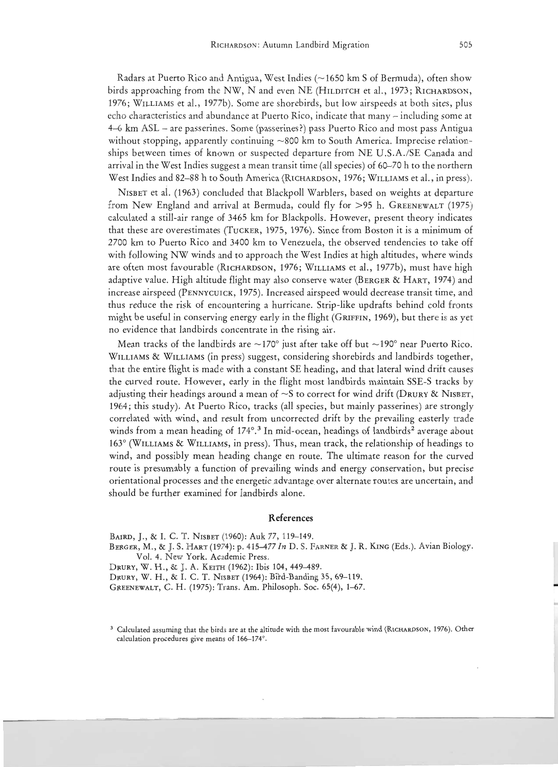Radars at Puerto Rico and Antigua, West Indies (~1650 km S of Bermuda), often show birds approaching from the NW, N and even NE (HILDITCH et al., 1973; RICHARDSON, 1976; WILLIAMS et al., 1977b). Some are shorebirds, but low airspeeds at both sites, plus echo characteristics and abundance at Puerto Rico, indicate that many - including some at 4-6 km ASL - are passerines. Some (passerines?) pass Puerto Rico and most pass Antigua without stopping, apparently continuing  $\sim 800$  km to South America. Imprecise relationships between times of known or suspected departure from NE U.S.A./SE Canada and arrival in the West Indies suggest a mean transit time (all species) of 60-70 h to the northern West Indies and 82-88 h to South America (RICHARDSON, 1976; WILLIAMS et al., in press).

NISBET et al. (1963) concluded that Blackpoll Warblers, based on weights at departure from New England and arrival at Bermuda, could fly for >95 h. GREENEWALT (1975) calculated a still-air range of 3465 km for Blackpolls. However, present theory indicates that these are overestimates (TUCKER, 1975, 1976). Since from Boston it is a minimum of 2700 km to Puerto Rico and 3400 km to Venezuela, the observed tendencies to take off with following NW winds and to approach the West Indies at high altitudes, where winds are often most favourable (RICHARDSON, 1976; WILLIAMS et al., 1977b), must have high adaptive value. High altitude flight may also conserve water (BERGER & HART, 1974) and increase airspeed (PENNYCUICK, 1975). Increased airspeed would decrease transit time, and thus reduce the risk of encountering a hurricane. Strip-like updrafts behind cold fronts might be useful in conserving energy early in the flight (GRIFFIN, 1969), but there is as yet no evidence that landbirds concentrate in the rising air.

Mean tracks of the landbirds are  $\sim$ 170° just after take off but  $\sim$ 190° near Puerto Rico. WILLIAMS & WILLIAMS (in press) suggest, considering shorebirds and landbirds together, that the entire flight is made with a constant SE heading, and that lateral wind drift causes the curved route. However, early in the flight most landbirds maintain SSE-S tracks by adjusting their headings around a mean of  $\sim$ S to correct for wind drift (DRURY & NISBET, 1964; this study). At Puerto Rico, tracks (all species, but mainly passerines) are strongly correlated with wind, and result from uncorrected drift by the prevailing easterly trade winds from a mean heading of 174°.<sup>3</sup> In mid-ocean, headings of landbirds<sup>2</sup> average about 163° (WILLIAMS & WILLIAMS, in press). Thus, mean track, the relationship of headings to wind, and possibly mean heading change en route. The ultimate reason for the curved route is presumably a function of prevailing winds and energy conservation, but precise orientational processes and the energetic.advantage over alternate routes are uncertain, and should be further examined for landbirds alone.

# **References**

BAIRD, ]., & 1. C. T. NISBET (1960): Auk 77, 119-149.

BERGER, M., &]. S. HART (1974): p. 415-477 *In* D. S. FARNER & J. R. KING (Eds.). Avian Biology. Vol. 4. New York. Academic Press.

DRURY, W. H., & J. A. KEITH (1962): Ibis 104, 449-489.

DRURY, W. H., & I. C. T. NISBET (1964): Bird-Banding 35, 69-119.

GREENEWALT, C. H. (1975): Trans. Am. Philosoph. Soc. 65(4), 1-67.

<sup>&</sup>lt;sup>3</sup> Calculated assuming that the birds are at the altitude with the most favourable wind (RICHARDSON, 1976). Other calculation procedures give means of 166-174°,